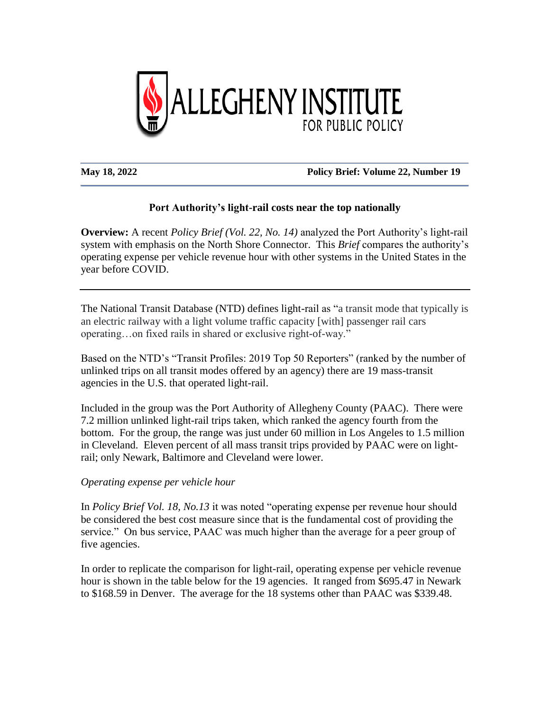

#### **May 18, 2022 Policy Brief: Volume 22, Number 19**

# **Port Authority's light-rail costs near the top nationally**

**Overview:** A recent *Policy Brief (Vol. 22, No. 14)* analyzed the Port Authority's light-rail system with emphasis on the North Shore Connector. This *Brief* compares the authority's operating expense per vehicle revenue hour with other systems in the United States in the year before COVID.

The National Transit Database (NTD) defines light-rail as "a transit mode that typically is an electric railway with a light volume traffic capacity [with] passenger rail cars operating…on fixed rails in shared or exclusive right-of-way."

Based on the NTD's "Transit Profiles: 2019 Top 50 Reporters" (ranked by the number of unlinked trips on all transit modes offered by an agency) there are 19 mass-transit agencies in the U.S. that operated light-rail.

Included in the group was the Port Authority of Allegheny County (PAAC). There were 7.2 million unlinked light-rail trips taken, which ranked the agency fourth from the bottom. For the group, the range was just under 60 million in Los Angeles to 1.5 million in Cleveland. Eleven percent of all mass transit trips provided by PAAC were on lightrail; only Newark, Baltimore and Cleveland were lower.

# *Operating expense per vehicle hour*

In *Policy Brief Vol. 18, No.13* it was noted "operating expense per revenue hour should be considered the best cost measure since that is the fundamental cost of providing the service." On bus service, PAAC was much higher than the average for a peer group of five agencies.

In order to replicate the comparison for light-rail, operating expense per vehicle revenue hour is shown in the table below for the 19 agencies. It ranged from \$695.47 in Newark to \$168.59 in Denver. The average for the 18 systems other than PAAC was \$339.48.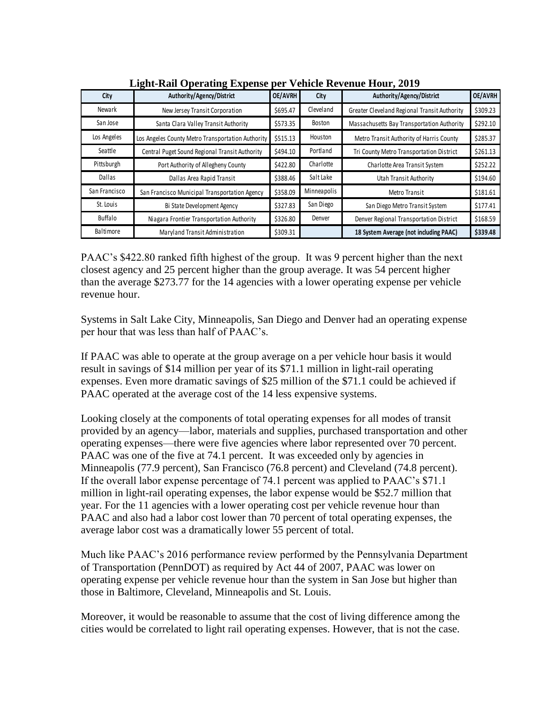| City             | Light Run Operunig Lapense<br>Authority/Agency/District | <b>OE/AVRH</b> | City        | Authority/Agency/District                    | OE/AVRH  |
|------------------|---------------------------------------------------------|----------------|-------------|----------------------------------------------|----------|
| Newark           | New Jersey Transit Corporation                          | \$695.47       | Cleveland   | Greater Cleveland Regional Transit Authority | \$309.23 |
| San Jose         | Santa Clara Valley Transit Authority                    | \$573.35       | Boston      | Massachusetts Bay Transportation Authority   | \$292.10 |
| Los Angeles      | Los Angeles County Metro Transportation Authority       | \$515.13       | Houston     | Metro Transit Authority of Harris County     | \$285.37 |
| Seattle          | Central Puget Sound Regional Transit Authority          | \$494.10       | Portland    | Tri County Metro Transportation District     | \$261.13 |
| Pittsburgh       | Port Authority of Allegheny County                      | \$422.80       | Charlotte   | Charlotte Area Transit System                | \$252.22 |
| Dallas           | Dallas Area Rapid Transit                               | \$388.46       | Salt Lake   | Utah Transit Authority                       | \$194.60 |
| San Francisco    | San Francisco Municipal Transportation Agency           | \$358.09       | Minneapolis | Metro Transit                                | \$181.61 |
| St. Louis        | Bi State Development Agency                             | \$327.83       | San Diego   | San Diego Metro Transit System               | \$177.41 |
| Buffalo          | Niagara Frontier Transportation Authority               | \$326.80       | Denver      | Denver Regional Transportation District      | \$168.59 |
| <b>Baltimore</b> | Maryland Transit Administration                         | \$309.31       |             | 18 System Average (not including PAAC)       | \$339.48 |

**Light-Rail Operating Expense per Vehicle Revenue Hour, 2019**

PAAC's \$422.80 ranked fifth highest of the group. It was 9 percent higher than the next closest agency and 25 percent higher than the group average. It was 54 percent higher than the average \$273.77 for the 14 agencies with a lower operating expense per vehicle revenue hour.

Systems in Salt Lake City, Minneapolis, San Diego and Denver had an operating expense per hour that was less than half of PAAC's.

If PAAC was able to operate at the group average on a per vehicle hour basis it would result in savings of \$14 million per year of its \$71.1 million in light-rail operating expenses. Even more dramatic savings of \$25 million of the \$71.1 could be achieved if PAAC operated at the average cost of the 14 less expensive systems.

Looking closely at the components of total operating expenses for all modes of transit provided by an agency—labor, materials and supplies, purchased transportation and other operating expenses—there were five agencies where labor represented over 70 percent. PAAC was one of the five at 74.1 percent. It was exceeded only by agencies in Minneapolis (77.9 percent), San Francisco (76.8 percent) and Cleveland (74.8 percent). If the overall labor expense percentage of 74.1 percent was applied to PAAC's \$71.1 million in light-rail operating expenses, the labor expense would be \$52.7 million that year. For the 11 agencies with a lower operating cost per vehicle revenue hour than PAAC and also had a labor cost lower than 70 percent of total operating expenses, the average labor cost was a dramatically lower 55 percent of total.

Much like PAAC's 2016 performance review performed by the Pennsylvania Department of Transportation (PennDOT) as required by Act 44 of 2007, PAAC was lower on operating expense per vehicle revenue hour than the system in San Jose but higher than those in Baltimore, Cleveland, Minneapolis and St. Louis.

Moreover, it would be reasonable to assume that the cost of living difference among the cities would be correlated to light rail operating expenses. However, that is not the case.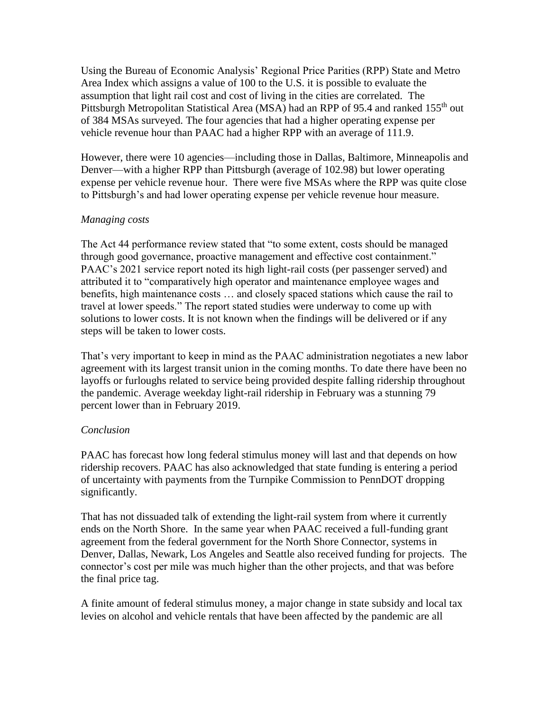Using the Bureau of Economic Analysis' Regional Price Parities (RPP) State and Metro Area Index which assigns a value of 100 to the U.S. it is possible to evaluate the assumption that light rail cost and cost of living in the cities are correlated. The Pittsburgh Metropolitan Statistical Area (MSA) had an RPP of 95.4 and ranked 155<sup>th</sup> out of 384 MSAs surveyed. The four agencies that had a higher operating expense per vehicle revenue hour than PAAC had a higher RPP with an average of 111.9.

However, there were 10 agencies—including those in Dallas, Baltimore, Minneapolis and Denver—with a higher RPP than Pittsburgh (average of 102.98) but lower operating expense per vehicle revenue hour. There were five MSAs where the RPP was quite close to Pittsburgh's and had lower operating expense per vehicle revenue hour measure.

# *Managing costs*

The Act 44 performance review stated that "to some extent, costs should be managed through good governance, proactive management and effective cost containment." PAAC's 2021 service report noted its high light-rail costs (per passenger served) and attributed it to "comparatively high operator and maintenance employee wages and benefits, high maintenance costs … and closely spaced stations which cause the rail to travel at lower speeds." The report stated studies were underway to come up with solutions to lower costs. It is not known when the findings will be delivered or if any steps will be taken to lower costs.

That's very important to keep in mind as the PAAC administration negotiates a new labor agreement with its largest transit union in the coming months. To date there have been no layoffs or furloughs related to service being provided despite falling ridership throughout the pandemic. Average weekday light-rail ridership in February was a stunning 79 percent lower than in February 2019.

# *Conclusion*

PAAC has forecast how long federal stimulus money will last and that depends on how ridership recovers. PAAC has also acknowledged that state funding is entering a period of uncertainty with payments from the Turnpike Commission to PennDOT dropping significantly.

That has not dissuaded talk of extending the light-rail system from where it currently ends on the North Shore. In the same year when PAAC received a full-funding grant agreement from the federal government for the North Shore Connector, systems in Denver, Dallas, Newark, Los Angeles and Seattle also received funding for projects. The connector's cost per mile was much higher than the other projects, and that was before the final price tag.

A finite amount of federal stimulus money, a major change in state subsidy and local tax levies on alcohol and vehicle rentals that have been affected by the pandemic are all